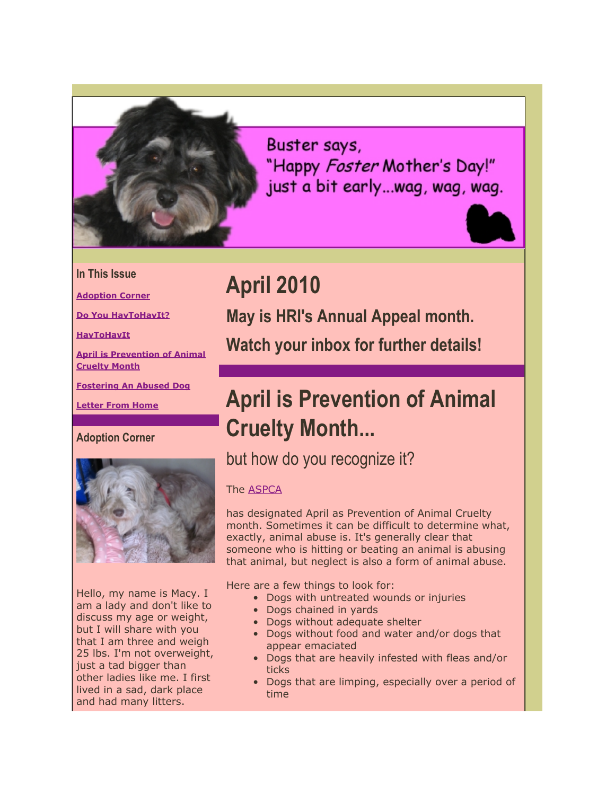

Buster says, "Happy Foster Mother's Day!" just a bit early...wag, wag, wag.



#### **In This Issue**

**[Adoption Corner](https://mail.google.com/mail/?ui=2&view=bsp&ver=ohhl4rw8mbn4#1284117cd607c5e6_LETTER.BLOCK4)**

**[Do You HavToHavIt?](https://mail.google.com/mail/?ui=2&view=bsp&ver=ohhl4rw8mbn4#1284117cd607c5e6_LETTER.BLOCK8)**

**[HavToHavIt](https://mail.google.com/mail/?ui=2&view=bsp&ver=ohhl4rw8mbn4#1284117cd607c5e6_LETTER.BLOCK6)**

**[April is Prevention of Animal](https://mail.google.com/mail/?ui=2&view=bsp&ver=ohhl4rw8mbn4#1284117cd607c5e6_LETTER.BLOCK15) [Cruelty Month](https://mail.google.com/mail/?ui=2&view=bsp&ver=ohhl4rw8mbn4#1284117cd607c5e6_LETTER.BLOCK15)**

**[Fostering An Abused Dog](https://mail.google.com/mail/?ui=2&view=bsp&ver=ohhl4rw8mbn4#1284117cd607c5e6_LETTER.BLOCK17)**

**[Letter From Home](https://mail.google.com/mail/?ui=2&view=bsp&ver=ohhl4rw8mbn4#1284117cd607c5e6_LETTER.BLOCK19)**

**Adoption Corner**



Hello, my name is Macy. I am a lady and don't like to discuss my age or weight, but I will share with you that I am three and weigh 25 lbs. I'm not overweight, just a tad bigger than other ladies like me. I first lived in a sad, dark place and had many litters.

**May is HRI's Annual Appeal month. Watch your inbox for further details!**

# **April is Prevention of Animal Cruelty Month...**

### but how do you recognize it?

#### The [ASPCA](http://r20.rs6.net/tn.jsp?et=1103331840878&s=2126&e=001AxOZPeQGGtRuZq0cH3DPc5jKSSaTKSuszKFrwqSDVNSy7Hpz19N0zE2tpaEiQX6khou3bNSOoJGI1iOnckR4Flghk_svK79ZnuqbvyF5hvM=)

**April 2010**

has designated April as Prevention of Animal Cruelty month. Sometimes it can be difficult to determine what, exactly, animal abuse is. It's generally clear that someone who is hitting or beating an animal is abusing that animal, but neglect is also a form of animal abuse.

Here are a few things to look for:

- Dogs with untreated wounds or injuries
- Dogs chained in yards
- Dogs without adequate shelter
- Dogs without food and water and/or dogs that appear emaciated
- Dogs that are heavily infested with fleas and/or ticks
- Dogs that are limping, especially over a period of time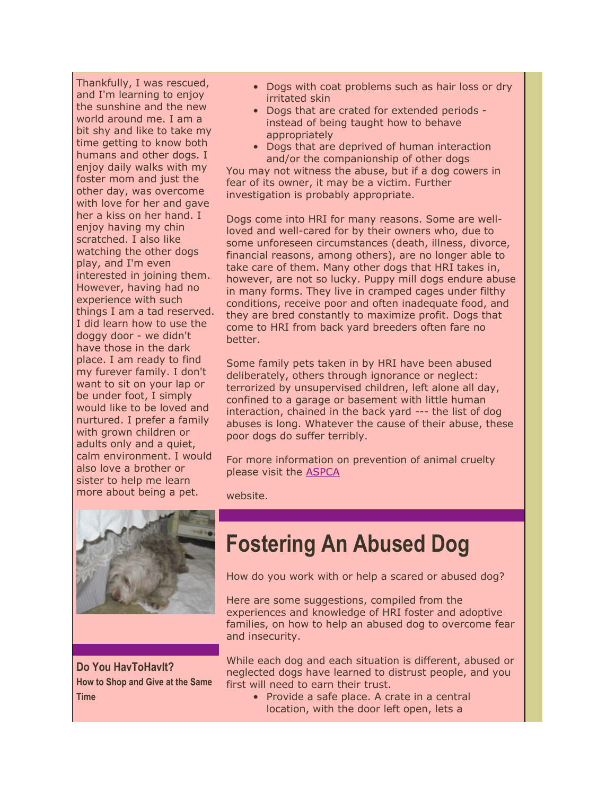Thankfully, I was rescued, and I'm learning to enjoy the sunshine and the new world around me. I am a bit shy and like to take my time getting to know both humans and other dogs. I enjoy daily walks with my foster mom and just the other day, was overcome with love for her and gave her a kiss on her hand. I enjoy having my chin scratched. I also like watching the other dogs play, and I'm even interested in joining them. However, having had no experience with such things I am a tad reserved. I did learn how to use the doggy door - we didn't have those in the dark place. I am ready to find my furever family. I don't want to sit on your lap or be under foot, I simply would like to be loved and nurtured. I prefer a family with grown children or adults only and a quiet, calm environment. I would also love a brother or sister to help me learn more about being a pet.

- Dogs with coat problems such as hair loss or dry irritated skin
- Dogs that are crated for extended periods instead of being taught how to behave appropriately
- Dogs that are deprived of human interaction and/or the companionship of other dogs

You may not witness the abuse, but if a dog cowers in fear of its owner, it may be a victim. Further investigation is probably appropriate.

Dogs come into HRI for many reasons. Some are wellloved and well-cared for by their owners who, due to some unforeseen circumstances (death, illness, divorce, financial reasons, among others), are no longer able to take care of them. Many other dogs that HRI takes in, however, are not so lucky. Puppy mill dogs endure abuse in many forms. They live in cramped cages under filthy conditions, receive poor and often inadequate food, and they are bred constantly to maximize profit. Dogs that come to HRI from back yard breeders often fare no better.

Some family pets taken in by HRI have been abused deliberately, others through ignorance or neglect: terrorized by unsupervised children, left alone all day, confined to a garage or basement with little human interaction, chained in the back yard --- the list of dog abuses is long. Whatever the cause of their abuse, these poor dogs do suffer terribly.

For more information on prevention of animal cruelty please visit the [ASPCA](http://r20.rs6.net/tn.jsp?et=1103331840878&s=2126&e=001AxOZPeQGGtRuZq0cH3DPc5jKSSaTKSuszKFrwqSDVNSy7Hpz19N0zE2tpaEiQX6khou3bNSOoJGI1iOnckR4Flghk_svK79ZnuqbvyF5hvM=)

website.



**Do You HavToHavIt? How to Shop and Give at the Same Time**

# **Fostering An Abused Dog**

How do you work with or help a scared or abused dog?

Here are some suggestions, compiled from the experiences and knowledge of HRI foster and adoptive families, on how to help an abused dog to overcome fear and insecurity.

While each dog and each situation is different, abused or neglected dogs have learned to distrust people, and you first will need to earn their trust.

• Provide a safe place. A crate in a central location, with the door left open, lets a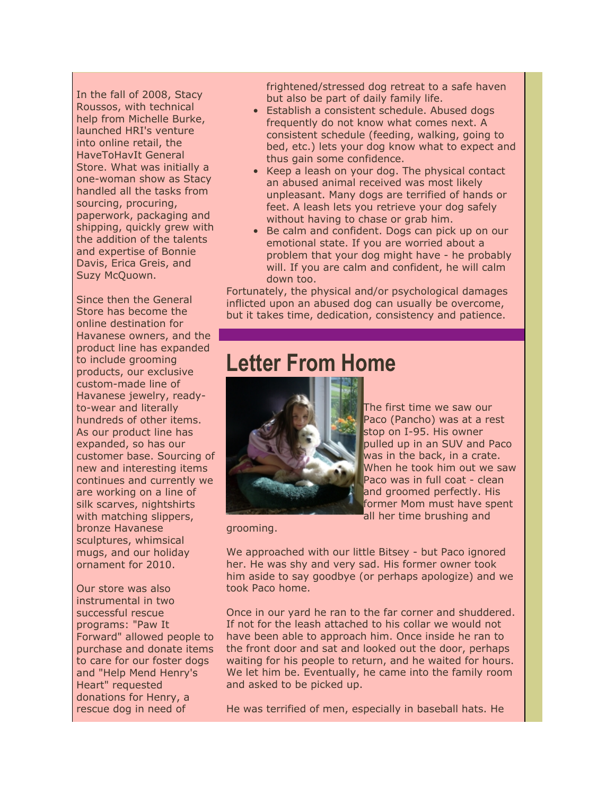In the fall of 2008, Stacy Roussos, with technical help from Michelle Burke, launched HRI's venture into online retail, the HaveToHavIt General Store. What was initially a one-woman show as Stacy handled all the tasks from sourcing, procuring, paperwork, packaging and shipping, quickly grew with the addition of the talents and expertise of Bonnie Davis, Erica Greis, and Suzy McQuown.

Since then the General Store has become the online destination for Havanese owners, and the product line has expanded to include grooming products, our exclusive custom-made line of Havanese jewelry, readyto-wear and literally hundreds of other items. As our product line has expanded, so has our customer base. Sourcing of new and interesting items continues and currently we are working on a line of silk scarves, nightshirts with matching slippers, bronze Havanese sculptures, whimsical mugs, and our holiday ornament for 2010.

Our store was also instrumental in two successful rescue programs: "Paw It Forward" allowed people to purchase and donate items to care for our foster dogs and "Help Mend Henry's Heart" requested donations for Henry, a rescue dog in need of

frightened/stressed dog retreat to a safe haven but also be part of daily family life.

- Establish a consistent schedule. Abused dogs frequently do not know what comes next. A consistent schedule (feeding, walking, going to bed, etc.) lets your dog know what to expect and thus gain some confidence.
- Keep a leash on your dog. The physical contact an abused animal received was most likely unpleasant. Many dogs are terrified of hands or feet. A leash lets you retrieve your dog safely without having to chase or grab him.
- Be calm and confident. Dogs can pick up on our emotional state. If you are worried about a problem that your dog might have - he probably will. If you are calm and confident, he will calm down too.

Fortunately, the physical and/or psychological damages inflicted upon an abused dog can usually be overcome, but it takes time, dedication, consistency and patience.

### **Letter From Home**



The first time we saw our Paco (Pancho) was at a rest stop on I-95. His owner pulled up in an SUV and Paco was in the back, in a crate. When he took him out we saw Paco was in full coat - clean and groomed perfectly. His former Mom must have spent all her time brushing and

grooming.

We approached with our little Bitsey - but Paco ignored her. He was shy and very sad. His former owner took him aside to say goodbye (or perhaps apologize) and we took Paco home.

Once in our yard he ran to the far corner and shuddered. If not for the leash attached to his collar we would not have been able to approach him. Once inside he ran to the front door and sat and looked out the door, perhaps waiting for his people to return, and he waited for hours. We let him be. Eventually, he came into the family room and asked to be picked up.

He was terrified of men, especially in baseball hats. He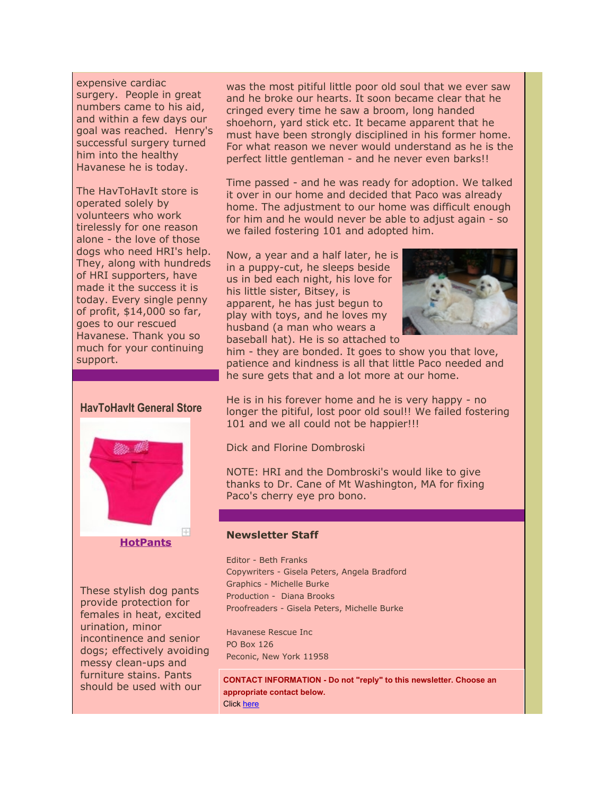expensive cardiac surgery. People in great numbers came to his aid, and within a few days our goal was reached. Henry's successful surgery turned him into the healthy Havanese he is today.

The HavToHavIt store is operated solely by volunteers who work tirelessly for one reason alone - the love of those dogs who need HRI's help. They, along with hundreds of HRI supporters, have made it the success it is today. Every single penny of profit, \$14,000 so far, goes to our rescued Havanese. Thank you so much for your continuing support.



These stylish dog pants provide protection for females in heat, excited urination, minor incontinence and senior dogs; effectively avoiding messy clean-ups and furniture stains. Pants should be used with our

was the most pitiful little poor old soul that we ever saw and he broke our hearts. It soon became clear that he cringed every time he saw a broom, long handed shoehorn, yard stick etc. It became apparent that he must have been strongly disciplined in his former home. For what reason we never would understand as he is the perfect little gentleman - and he never even barks!!

Time passed - and he was ready for adoption. We talked it over in our home and decided that Paco was already home. The adjustment to our home was difficult enough for him and he would never be able to adjust again - so we failed fostering 101 and adopted him.

Now, a year and a half later, he is in a puppy-cut, he sleeps beside us in bed each night, his love for his little sister, Bitsey, is apparent, he has just begun to play with toys, and he loves my husband (a man who wears a baseball hat). He is so attached to



him - they are bonded. It goes to show you that love, patience and kindness is all that little Paco needed and he sure gets that and a lot more at our home.

He is in his forever home and he is very happy - no longer the pitiful, lost poor old soul!! We failed fostering 101 and we all could not be happier!!!

Dick and Florine Dombroski

NOTE: HRI and the Dombroski's would like to give thanks to Dr. Cane of Mt Washington, MA for fixing Paco's cherry eye pro bono.

#### **Newsletter Staff**

Editor - Beth Franks Copywriters - Gisela Peters, Angela Bradford Graphics - Michelle Burke Production - Diana Brooks Proofreaders - Gisela Peters, Michelle Burke

Havanese Rescue Inc PO Box 126 Peconic, New York 11958

**CONTACT INFORMATION - Do not "reply" to this newsletter. Choose an appropriate contact below.** Click [here](http://r20.rs6.net/tn.jsp?et=1103331840878&s=2126&e=001AxOZPeQGGtQnV-z9wfzMIG9BTYxrFUF9gILBaUC7mpsAba9PS8z7LgKFBa1BypIS6zZjj6neXwPnsB86MPQVc6WEN-dhgbw3xXIgcwp1Q7O8FCHcU2ChTK4IwYs3C_keiwH9U03kR2A=)